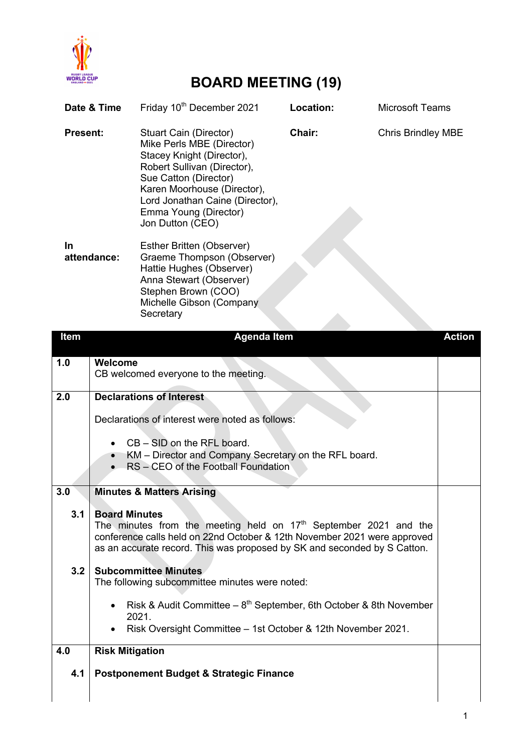

## **BOARD MEETING (19)**

| Date & Time     |                                                                                                                                                                                                                                                    | Friday 10 <sup>th</sup> December 2021                                                                                                                                                                                                                   | Location: | <b>Microsoft Teams</b>    |               |
|-----------------|----------------------------------------------------------------------------------------------------------------------------------------------------------------------------------------------------------------------------------------------------|---------------------------------------------------------------------------------------------------------------------------------------------------------------------------------------------------------------------------------------------------------|-----------|---------------------------|---------------|
| <b>Present:</b> |                                                                                                                                                                                                                                                    | Stuart Cain (Director)<br>Mike Perls MBE (Director)<br>Stacey Knight (Director),<br>Robert Sullivan (Director),<br>Sue Catton (Director)<br>Karen Moorhouse (Director),<br>Lord Jonathan Caine (Director),<br>Emma Young (Director)<br>Jon Dutton (CEO) | Chair:    | <b>Chris Brindley MBE</b> |               |
| In              | attendance:                                                                                                                                                                                                                                        | Esther Britten (Observer)<br>Graeme Thompson (Observer)<br>Hattie Hughes (Observer)<br>Anna Stewart (Observer)<br>Stephen Brown (COO)<br>Michelle Gibson (Company<br>Secretary                                                                          |           |                           |               |
| <b>Item</b>     |                                                                                                                                                                                                                                                    | <b>Agenda Item</b>                                                                                                                                                                                                                                      |           |                           | <b>Action</b> |
| 1.0             | Welcome                                                                                                                                                                                                                                            | CB welcomed everyone to the meeting.                                                                                                                                                                                                                    |           |                           |               |
| 2.0             |                                                                                                                                                                                                                                                    | <b>Declarations of Interest</b>                                                                                                                                                                                                                         |           |                           |               |
|                 | Declarations of interest were noted as follows:                                                                                                                                                                                                    |                                                                                                                                                                                                                                                         |           |                           |               |
|                 | $CB - SID$ on the RFL board.<br>$\bullet$<br>KM - Director and Company Secretary on the RFL board.<br>$\bullet$<br>RS - CEO of the Football Foundation                                                                                             |                                                                                                                                                                                                                                                         |           |                           |               |
| 3.0             |                                                                                                                                                                                                                                                    | <b>Minutes &amp; Matters Arising</b>                                                                                                                                                                                                                    |           |                           |               |
| 3.1             | <b>Board Minutes</b><br>The minutes from the meeting held on $17th$ September 2021 and the<br>conference calls held on 22nd October & 12th November 2021 were approved<br>as an accurate record. This was proposed by SK and seconded by S Catton. |                                                                                                                                                                                                                                                         |           |                           |               |
| 3.2             |                                                                                                                                                                                                                                                    | <b>Subcommittee Minutes</b><br>The following subcommittee minutes were noted:                                                                                                                                                                           |           |                           |               |
|                 | $\bullet$                                                                                                                                                                                                                                          | Risk & Audit Committee $-8^{th}$ September, 6th October & 8th November<br>2021.<br>Risk Oversight Committee - 1st October & 12th November 2021.                                                                                                         |           |                           |               |
| 4.0             | <b>Risk Mitigation</b>                                                                                                                                                                                                                             |                                                                                                                                                                                                                                                         |           |                           |               |
| 4.1             |                                                                                                                                                                                                                                                    | <b>Postponement Budget &amp; Strategic Finance</b>                                                                                                                                                                                                      |           |                           |               |